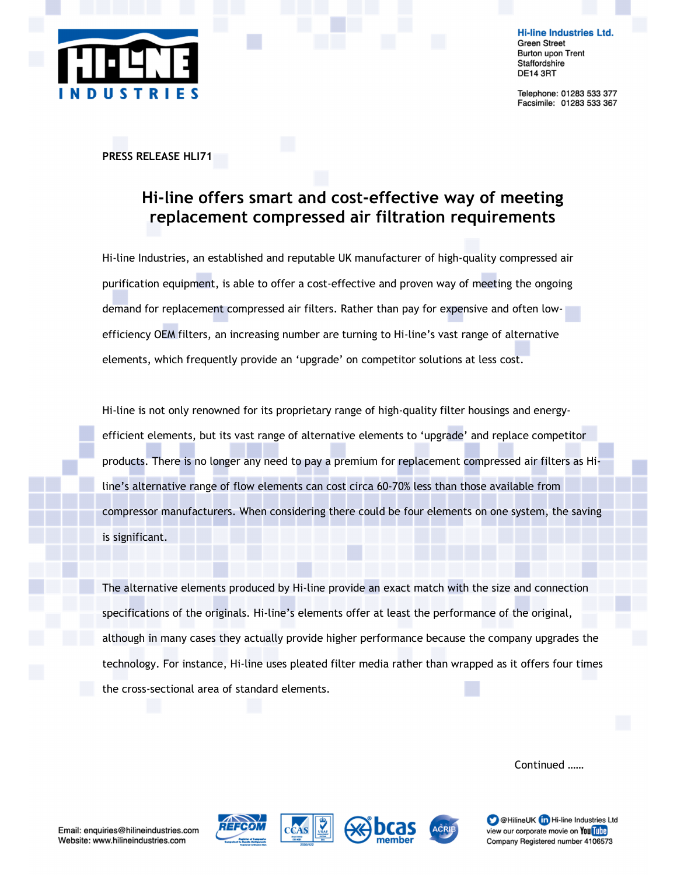

**Hi-line Industries Ltd. Green Street Burton upon Trent** Staffordshire **DE14 3RT** 

Telephone: 01283 533 377 Facsimile: 01283 533 367

## PRESS RELEASE HLI71

## Hi-line offers smart and cost-effective way of meeting replacement compressed air filtration requirements

Hi-line Industries, an established and reputable UK manufacturer of high-quality compressed air purification equipment, is able to offer a cost-effective and proven way of meeting the ongoing demand for replacement compressed air filters. Rather than pay for expensive and often lowefficiency OEM filters, an increasing number are turning to Hi-line's vast range of alternative elements, which frequently provide an 'upgrade' on competitor solutions at less cost.

Hi-line is not only renowned for its proprietary range of high-quality filter housings and energyefficient elements, but its vast range of alternative elements to 'upgrade' and replace competitor products. There is no longer any need to pay a premium for replacement compressed air filters as Hiline's alternative range of flow elements can cost circa 60-70% less than those available from compressor manufacturers. When considering there could be four elements on one system, the saving is significant.

The alternative elements produced by Hi-line provide an exact match with the size and connection specifications of the originals. Hi-line's elements offer at least the performance of the original, although in many cases they actually provide higher performance because the company upgrades the technology. For instance, Hi-line uses pleated filter media rather than wrapped as it offers four times the cross-sectional area of standard elements.

Continued ……







**D** @HilineUK **in** Hi-line Industries Ltd view our corporate movie on You Tube Company Registered number 4106573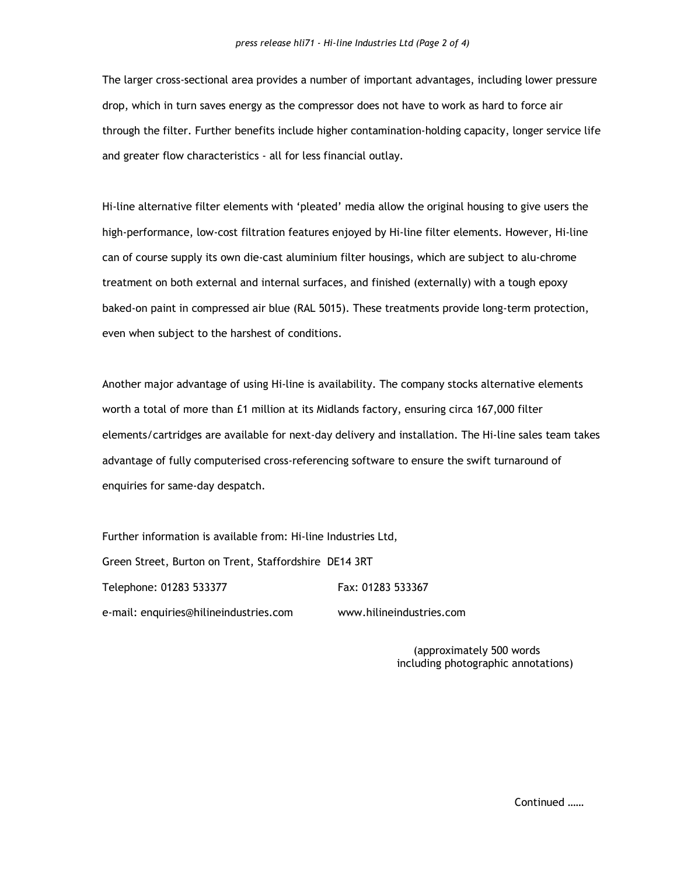The larger cross-sectional area provides a number of important advantages, including lower pressure drop, which in turn saves energy as the compressor does not have to work as hard to force air through the filter. Further benefits include higher contamination-holding capacity, longer service life and greater flow characteristics - all for less financial outlay.

Hi-line alternative filter elements with 'pleated' media allow the original housing to give users the high-performance, low-cost filtration features enjoyed by Hi-line filter elements. However, Hi-line can of course supply its own die-cast aluminium filter housings, which are subject to alu-chrome treatment on both external and internal surfaces, and finished (externally) with a tough epoxy baked-on paint in compressed air blue (RAL 5015). These treatments provide long-term protection, even when subject to the harshest of conditions.

Another major advantage of using Hi-line is availability. The company stocks alternative elements worth a total of more than £1 million at its Midlands factory, ensuring circa 167,000 filter elements/cartridges are available for next-day delivery and installation. The Hi-line sales team takes advantage of fully computerised cross-referencing software to ensure the swift turnaround of enquiries for same-day despatch.

Further information is available from: Hi-line Industries Ltd, Green Street, Burton on Trent, Staffordshire DE14 3RT Telephone: 01283 533377 Fax: 01283 533367 e-mail: enquiries@hilineindustries.com www.hilineindustries.com

> (approximately 500 words including photographic annotations)

> > Continued ……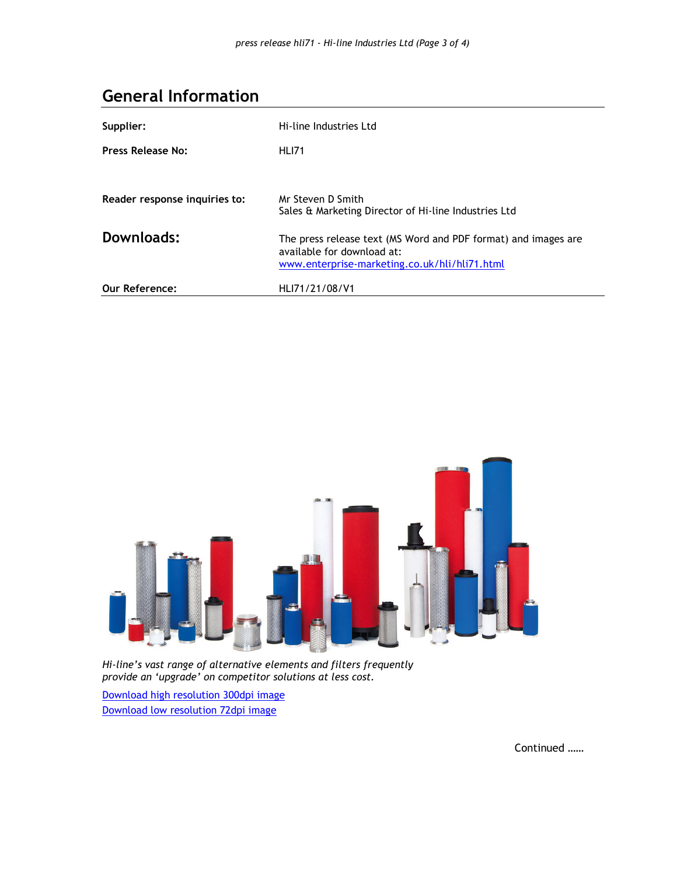## General Information

| Supplier:                     | Hi-line Industries Ltd                                                                                                                        |
|-------------------------------|-----------------------------------------------------------------------------------------------------------------------------------------------|
| Press Release No:             | <b>HLI71</b>                                                                                                                                  |
|                               |                                                                                                                                               |
| Reader response inquiries to: | Mr Steven D Smith<br>Sales & Marketing Director of Hi-line Industries Ltd                                                                     |
| Downloads:                    | The press release text (MS Word and PDF format) and images are<br>available for download at:<br>www.enterprise-marketing.co.uk/hli/hli71.html |
| <b>Our Reference:</b>         | HLI71/21/08/V1                                                                                                                                |



Hi-line's vast range of alternative elements and filters frequently provide an 'upgrade' on competitor solutions at less cost.

Download high resolution 300dpi image Download low resolution 72dpi image

Continued ……